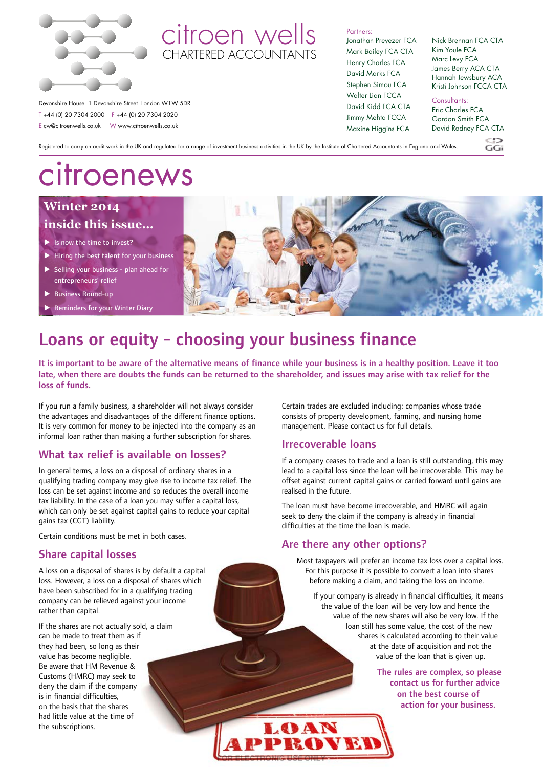

### citroen wells **CHARTERED ACCOUNTANT**

Partners:

Jonathan Prevezer FCA Mark Bailey FCA CTA Henry Charles FCA David Marks FCA Stephen Simou FCA Walter Lian FCCA David Kidd FCA CTA Jimmy Mehta FCCA Maxine Higgins FCA

Nick Brennan FCA CTA Kim Youle FCA Marc Levy FCA James Berry ACA CTA Hannah Jewsbury ACA Kristi Johnson FCCA CTA

Consultants:

Eric Charles FCA Gordon Smith FCA David Rodney FCA CTA

 $\frac{CD}{G}$ 

Registered to carry on audit work in the UK and regulated for a range of investment business activities in the UK by the Institute of Chartered Accountants in England and Wales.

# citroenews

Devonshire House 1 Devonshire Street London W1W 5DR T +44 (0) 20 7304 2000 F +44 (0) 20 7304 2020 E cw@citroenwells.co.uk W www.citroenwells.co.uk

### **Winter 2014 inside this issue...**

- $\blacktriangleright$  Is now the time to invest?
- $\blacktriangleright$  Hiring the best talent for your business
- $\triangleright$  Selling your business plan ahead for entrepreneurs' relief
- **Business Round-up**
- Reminders for your Winter Diary



# Loans or equity - choosing your business finance

It is important to be aware of the alternative means of finance while your business is in a healthy position. Leave it too late, when there are doubts the funds can be returned to the shareholder, and issues may arise with tax relief for the loss of funds.

**FOR ELECTRONIC USE ON THE SECOND USE OF THE SECOND USE** 

LOAN

PROVET

If you run a family business, a shareholder will not always consider the advantages and disadvantages of the different finance options. It is very common for money to be injected into the company as an informal loan rather than making a further subscription for shares.

#### What tax relief is available on losses?

In general terms, a loss on a disposal of ordinary shares in a qualifying trading company may give rise to income tax relief. The loss can be set against income and so reduces the overall income tax liability. In the case of a loan you may suffer a capital loss, which can only be set against capital gains to reduce your capital gains tax (CGT) liability.

Certain conditions must be met in both cases.

#### Share capital losses

A loss on a disposal of shares is by default a capital loss. However, a loss on a disposal of shares which have been subscribed for in a qualifying trading company can be relieved against your income rather than capital.

If the shares are not actually sold, a claim can be made to treat them as if they had been, so long as their value has become negligible. Be aware that HM Revenue & Customs (HMRC) may seek to deny the claim if the company is in financial difficulties, on the basis that the shares had little value at the time of the subscriptions.

Certain trades are excluded including: companies whose trade consists of property development, farming, and nursing home management. Please contact us for full details.

#### Irrecoverable loans

If a company ceases to trade and a loan is still outstanding, this may lead to a capital loss since the loan will be irrecoverable. This may be offset against current capital gains or carried forward until gains are realised in the future.

The loan must have become irrecoverable, and HMRC will again seek to deny the claim if the company is already in financial difficulties at the time the loan is made.

#### Are there any other options?

Most taxpayers will prefer an income tax loss over a capital loss. For this purpose it is possible to convert a loan into shares before making a claim, and taking the loss on income.

If your company is already in financial difficulties, it means the value of the loan will be very low and hence the value of the new shares will also be very low. If the loan still has some value, the cost of the new shares is calculated according to their value at the date of acquisition and not the value of the loan that is given up.

> The rules are complex, so please contact us for further advice on the best course of action for your business.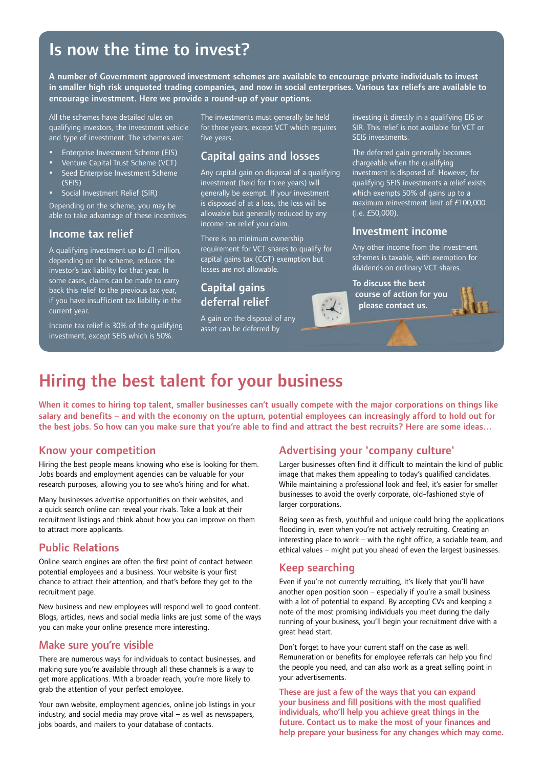### Is now the time to invest?

A number of Government approved investment schemes are available to encourage private individuals to invest in smaller high risk unquoted trading companies, and now in social enterprises. Various tax reliefs are available to encourage investment. Here we provide a round-up of your options.

All the schemes have detailed rules on qualifying investors, the investment vehicle and type of investment. The schemes are:

- Enterprise Investment Scheme (EIS)
- y Venture Capital Trust Scheme (VCT)
- Seed Enterprise Investment Scheme (SEIS)
- Social Investment Relief (SIR)

Depending on the scheme, you may be able to take advantage of these incentives:

#### Income tax relief

A qualifying investment up to £1 million, depending on the scheme, reduces the investor's tax liability for that year. In some cases, claims can be made to carry back this relief to the previous tax year, if you have insufficient tax liability in the current year.

Income tax relief is 30% of the qualifying investment, except SEIS which is 50%.

The investments must generally be held for three years, except VCT which requires five years.

#### Capital gains and losses

Any capital gain on disposal of a qualifying investment (held for three years) will generally be exempt. If your investment is disposed of at a loss, the loss will be allowable but generally reduced by any income tax relief you claim.

There is no minimum ownership requirement for VCT shares to qualify for capital gains tax (CGT) exemption but losses are not allowable.

#### Capital gains deferral relief

A gain on the disposal of any asset can be deferred by

investing it directly in a qualifying EIS or SIR. This relief is not available for VCT or SEIS investments.

The deferred gain generally becomes chargeable when the qualifying investment is disposed of. However, for qualifying SEIS investments a relief exists which exempts 50% of gains up to a maximum reinvestment limit of £100,000 (i.e. £50,000).

#### Investment income

Any other income from the investment schemes is taxable, with exemption for dividends on ordinary VCT shares.

To discuss the best course of action for you please contact us.

## Hiring the best talent for your business

When it comes to hiring top talent, smaller businesses can't usually compete with the major corporations on things like salary and benefits – and with the economy on the upturn, potential employees can increasingly afford to hold out for the best jobs. So how can you make sure that you're able to find and attract the best recruits? Here are some ideas…

#### Know your competition

Hiring the best people means knowing who else is looking for them. Jobs boards and employment agencies can be valuable for your research purposes, allowing you to see who's hiring and for what.

Many businesses advertise opportunities on their websites, and a quick search online can reveal your rivals. Take a look at their recruitment listings and think about how you can improve on them to attract more applicants.

#### Public Relations

Online search engines are often the first point of contact between potential employees and a business. Your website is your first chance to attract their attention, and that's before they get to the recruitment page.

New business and new employees will respond well to good content. Blogs, articles, news and social media links are just some of the ways you can make your online presence more interesting.

#### Make sure you're visible

There are numerous ways for individuals to contact businesses, and making sure you're available through all these channels is a way to get more applications. With a broader reach, you're more likely to grab the attention of your perfect employee.

Your own website, employment agencies, online job listings in your industry, and social media may prove vital – as well as newspapers, jobs boards, and mailers to your database of contacts.

#### Advertising your 'company culture'

 $\frac{1}{2}$ 

Larger businesses often find it difficult to maintain the kind of public image that makes them appealing to today's qualified candidates. While maintaining a professional look and feel, it's easier for smaller businesses to avoid the overly corporate, old-fashioned style of larger corporations.

Being seen as fresh, youthful and unique could bring the applications flooding in, even when you're not actively recruiting. Creating an interesting place to work – with the right office, a sociable team, and ethical values – might put you ahead of even the largest businesses.

#### Keep searching

Even if you're not currently recruiting, it's likely that you'll have another open position soon – especially if you're a small business with a lot of potential to expand. By accepting CVs and keeping a note of the most promising individuals you meet during the daily running of your business, you'll begin your recruitment drive with a great head start.

Don't forget to have your current staff on the case as well. Remuneration or benefits for employee referrals can help you find the people you need, and can also work as a great selling point in your advertisements.

These are just a few of the ways that you can expand your business and fill positions with the most qualified individuals, who'll help you achieve great things in the future. Contact us to make the most of your finances and help prepare your business for any changes which may come.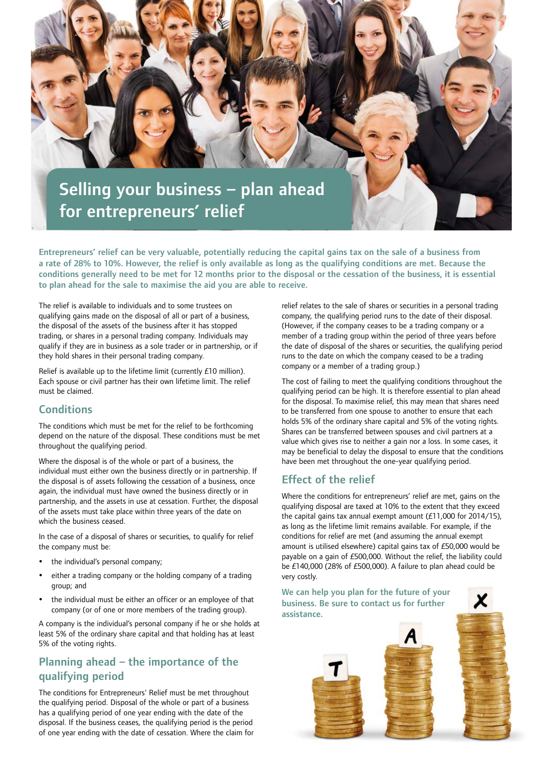

Entrepreneurs' relief can be very valuable, potentially reducing the capital gains tax on the sale of a business from a rate of 28% to 10%. However, the relief is only available as long as the qualifying conditions are met. Because the conditions generally need to be met for 12 months prior to the disposal or the cessation of the business, it is essential to plan ahead for the sale to maximise the aid you are able to receive.

The relief is available to individuals and to some trustees on qualifying gains made on the disposal of all or part of a business, the disposal of the assets of the business after it has stopped trading, or shares in a personal trading company. Individuals may qualify if they are in business as a sole trader or in partnership, or if they hold shares in their personal trading company.

Relief is available up to the lifetime limit (currently £10 million). Each spouse or civil partner has their own lifetime limit. The relief must be claimed.

#### **Conditions**

The conditions which must be met for the relief to be forthcoming depend on the nature of the disposal. These conditions must be met throughout the qualifying period.

Where the disposal is of the whole or part of a business, the individual must either own the business directly or in partnership. If the disposal is of assets following the cessation of a business, once again, the individual must have owned the business directly or in partnership, and the assets in use at cessation. Further, the disposal of the assets must take place within three years of the date on which the business ceased.

In the case of a disposal of shares or securities, to qualify for relief the company must be:

- the individual's personal company;
- either a trading company or the holding company of a trading group; and
- the individual must be either an officer or an employee of that company (or of one or more members of the trading group).

A company is the individual's personal company if he or she holds at least 5% of the ordinary share capital and that holding has at least 5% of the voting rights.

### Planning ahead – the importance of the qualifying period

The conditions for Entrepreneurs' Relief must be met throughout the qualifying period. Disposal of the whole or part of a business has a qualifying period of one year ending with the date of the disposal. If the business ceases, the qualifying period is the period of one year ending with the date of cessation. Where the claim for

relief relates to the sale of shares or securities in a personal trading company, the qualifying period runs to the date of their disposal. (However, if the company ceases to be a trading company or a member of a trading group within the period of three years before the date of disposal of the shares or securities, the qualifying period runs to the date on which the company ceased to be a trading company or a member of a trading group.)

The cost of failing to meet the qualifying conditions throughout the qualifying period can be high. It is therefore essential to plan ahead for the disposal. To maximise relief, this may mean that shares need to be transferred from one spouse to another to ensure that each holds 5% of the ordinary share capital and 5% of the voting rights. Shares can be transferred between spouses and civil partners at a value which gives rise to neither a gain nor a loss. In some cases, it may be beneficial to delay the disposal to ensure that the conditions have been met throughout the one-year qualifying period.

### Effect of the relief

Where the conditions for entrepreneurs' relief are met, gains on the qualifying disposal are taxed at 10% to the extent that they exceed the capital gains tax annual exempt amount (£11,000 for 2014/15), as long as the lifetime limit remains available. For example, if the conditions for relief are met (and assuming the annual exempt amount is utilised elsewhere) capital gains tax of £50,000 would be payable on a gain of £500,000. Without the relief, the liability could be £140,000 (28% of £500,000). A failure to plan ahead could be very costly.